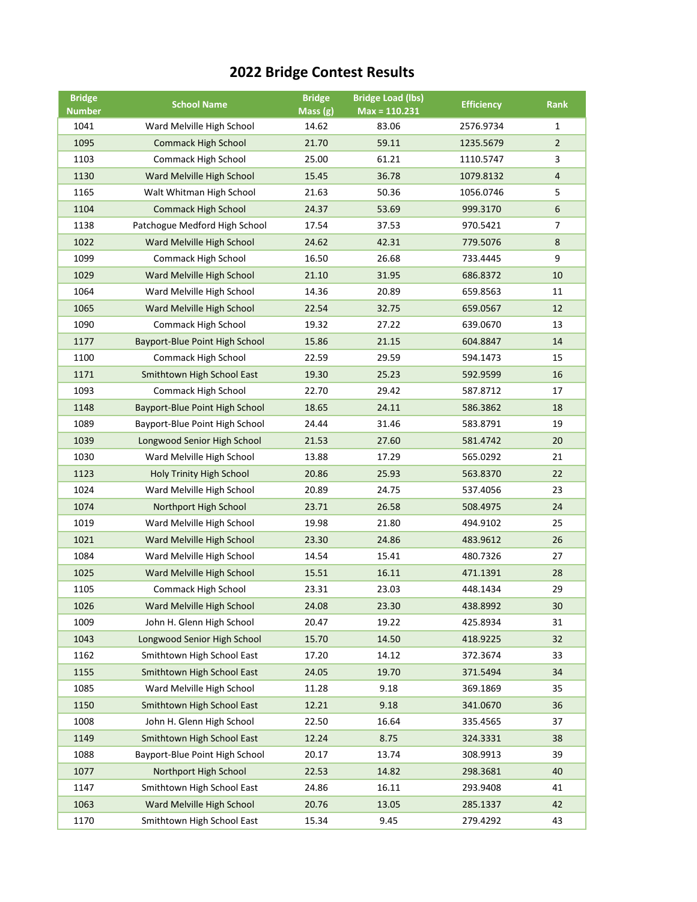## **2022 Bridge Contest Results**

| <b>Bridge</b> | <b>School Name</b>                    | <b>Bridge</b> | <b>Bridge Load (lbs)</b> | <b>Efficiency</b> | <b>Rank</b>    |
|---------------|---------------------------------------|---------------|--------------------------|-------------------|----------------|
| <b>Number</b> |                                       | Mass $(g)$    | $Max = 110.231$          |                   |                |
| 1041          | Ward Melville High School             | 14.62         | 83.06                    | 2576.9734         | 1              |
| 1095          | <b>Commack High School</b>            | 21.70         | 59.11                    | 1235.5679         | $\overline{2}$ |
| 1103          | Commack High School                   | 25.00         | 61.21                    | 1110.5747         | 3              |
| 1130          | Ward Melville High School             | 15.45         | 36.78                    | 1079.8132         | $\overline{4}$ |
| 1165          | Walt Whitman High School              | 21.63         | 50.36                    | 1056.0746         | 5              |
| 1104          | <b>Commack High School</b>            | 24.37         | 53.69                    | 999.3170          | 6              |
| 1138          | Patchogue Medford High School         | 17.54         | 37.53                    | 970.5421          | $\overline{7}$ |
| 1022          | Ward Melville High School             | 24.62         | 42.31                    | 779.5076          | 8              |
| 1099          | Commack High School                   | 16.50         | 26.68                    | 733.4445          | 9              |
| 1029          | Ward Melville High School             | 21.10         | 31.95                    | 686.8372          | 10             |
| 1064          | Ward Melville High School             | 14.36         | 20.89                    | 659.8563          | 11             |
| 1065          | Ward Melville High School             | 22.54         | 32.75                    | 659.0567          | 12             |
| 1090          | Commack High School                   | 19.32         | 27.22                    | 639.0670          | 13             |
| 1177          | <b>Bayport-Blue Point High School</b> | 15.86         | 21.15                    | 604.8847          | 14             |
| 1100          | Commack High School                   | 22.59         | 29.59                    | 594.1473          | 15             |
| 1171          | Smithtown High School East            | 19.30         | 25.23                    | 592.9599          | 16             |
| 1093          | Commack High School                   | 22.70         | 29.42                    | 587.8712          | 17             |
| 1148          | Bayport-Blue Point High School        | 18.65         | 24.11                    | 586.3862          | 18             |
| 1089          | Bayport-Blue Point High School        | 24.44         | 31.46                    | 583.8791          | 19             |
| 1039          | Longwood Senior High School           | 21.53         | 27.60                    | 581.4742          | 20             |
| 1030          | Ward Melville High School             | 13.88         | 17.29                    | 565.0292          | 21             |
| 1123          | Holy Trinity High School              | 20.86         | 25.93                    | 563.8370          | 22             |
| 1024          | Ward Melville High School             | 20.89         | 24.75                    | 537.4056          | 23             |
| 1074          | Northport High School                 | 23.71         | 26.58                    | 508.4975          | 24             |
| 1019          | Ward Melville High School             | 19.98         | 21.80                    | 494.9102          | 25             |
| 1021          | Ward Melville High School             | 23.30         | 24.86                    | 483.9612          | 26             |
| 1084          | Ward Melville High School             | 14.54         | 15.41                    | 480.7326          | 27             |
| 1025          | Ward Melville High School             | 15.51         | 16.11                    | 471.1391          | 28             |
| 1105          | Commack High School                   | 23.31         | 23.03                    | 448.1434          | 29             |
| 1026          | Ward Melville High School             | 24.08         | 23.30                    | 438.8992          | 30             |
| 1009          | John H. Glenn High School             | 20.47         | 19.22                    | 425.8934          | 31             |
| 1043          | Longwood Senior High School           | 15.70         | 14.50                    | 418.9225          | 32             |
| 1162          | Smithtown High School East            | 17.20         | 14.12                    | 372.3674          | 33             |
| 1155          | Smithtown High School East            | 24.05         | 19.70                    | 371.5494          | 34             |
| 1085          | Ward Melville High School             | 11.28         | 9.18                     | 369.1869          | 35             |
| 1150          | Smithtown High School East            | 12.21         | 9.18                     | 341.0670          | 36             |
| 1008          | John H. Glenn High School             | 22.50         | 16.64                    | 335.4565          | 37             |
| 1149          | Smithtown High School East            | 12.24         | 8.75                     | 324.3331          | 38             |
| 1088          | Bayport-Blue Point High School        | 20.17         | 13.74                    | 308.9913          | 39             |
| 1077          | Northport High School                 | 22.53         | 14.82                    | 298.3681          | 40             |
| 1147          | Smithtown High School East            | 24.86         | 16.11                    | 293.9408          | 41             |
| 1063          | Ward Melville High School             | 20.76         | 13.05                    | 285.1337          | 42             |
| 1170          | Smithtown High School East            | 15.34         | 9.45                     | 279.4292          | 43             |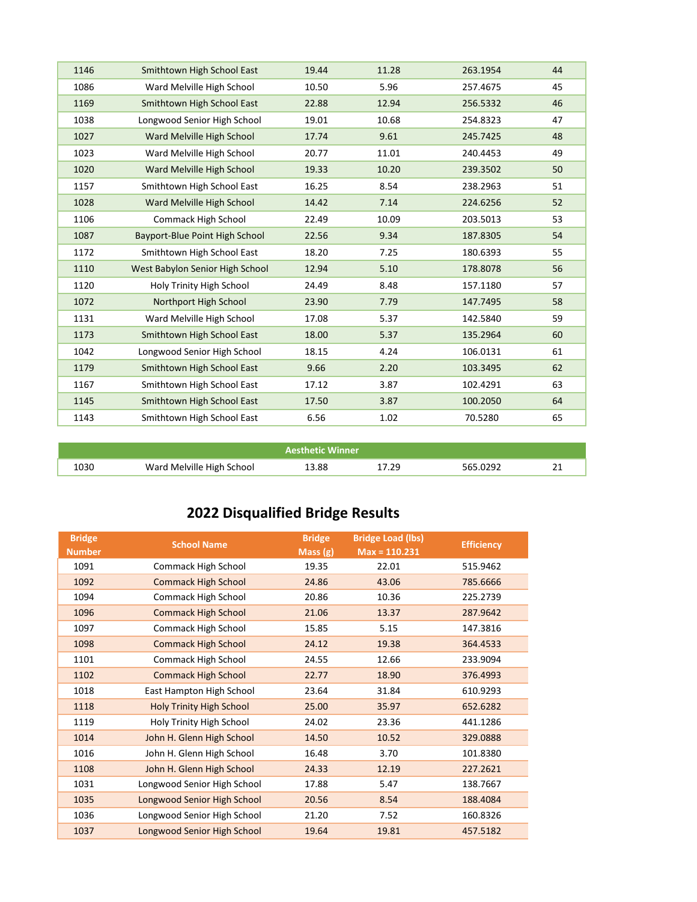| 1146 | Smithtown High School East      | 19.44 | 11.28 | 263.1954 | 44 |
|------|---------------------------------|-------|-------|----------|----|
| 1086 | Ward Melville High School       | 10.50 | 5.96  | 257.4675 | 45 |
| 1169 | Smithtown High School East      | 22.88 | 12.94 | 256.5332 | 46 |
| 1038 | Longwood Senior High School     | 19.01 | 10.68 | 254.8323 | 47 |
| 1027 | Ward Melville High School       | 17.74 | 9.61  | 245.7425 | 48 |
| 1023 | Ward Melville High School       | 20.77 | 11.01 | 240.4453 | 49 |
| 1020 | Ward Melville High School       | 19.33 | 10.20 | 239.3502 | 50 |
| 1157 | Smithtown High School East      | 16.25 | 8.54  | 238.2963 | 51 |
| 1028 | Ward Melville High School       | 14.42 | 7.14  | 224.6256 | 52 |
| 1106 | Commack High School             | 22.49 | 10.09 | 203.5013 | 53 |
| 1087 | Bayport-Blue Point High School  | 22.56 | 9.34  | 187.8305 | 54 |
| 1172 | Smithtown High School East      | 18.20 | 7.25  | 180.6393 | 55 |
| 1110 | West Babylon Senior High School | 12.94 | 5.10  | 178.8078 | 56 |
| 1120 | Holy Trinity High School        | 24.49 | 8.48  | 157.1180 | 57 |
| 1072 | Northport High School           | 23.90 | 7.79  | 147.7495 | 58 |
| 1131 | Ward Melville High School       | 17.08 | 5.37  | 142.5840 | 59 |
| 1173 | Smithtown High School East      | 18.00 | 5.37  | 135.2964 | 60 |
| 1042 | Longwood Senior High School     | 18.15 | 4.24  | 106.0131 | 61 |
| 1179 | Smithtown High School East      | 9.66  | 2.20  | 103.3495 | 62 |
| 1167 | Smithtown High School East      | 17.12 | 3.87  | 102.4291 | 63 |
| 1145 | Smithtown High School East      | 17.50 | 3.87  | 100.2050 | 64 |
| 1143 | Smithtown High School East      | 6.56  | 1.02  | 70.5280  | 65 |
|      |                                 |       |       |          |    |

|      |                           | <b>Aesthetic Winner</b> |     |          |    |
|------|---------------------------|-------------------------|-----|----------|----|
| LO30 | Ward Melville High School | 13.88                   | 29: | 565.0292 | n. |

## **2022 Disqualified Bridge Results**

| <b>Bridge</b><br><b>Number</b> | <b>School Name</b>              | <b>Bridge</b><br>Mass $(g)$ | <b>Bridge Load (lbs)</b><br>$Max = 110.231$ | <b>Efficiency</b> |
|--------------------------------|---------------------------------|-----------------------------|---------------------------------------------|-------------------|
| 1091                           | Commack High School             | 19.35                       | 22.01                                       | 515.9462          |
| 1092                           | <b>Commack High School</b>      | 24.86                       | 43.06                                       | 785.6666          |
| 1094                           | Commack High School             | 20.86                       | 10.36                                       | 225.2739          |
| 1096                           | <b>Commack High School</b>      | 21.06                       | 13.37                                       | 287.9642          |
| 1097                           | Commack High School             | 15.85                       | 5.15                                        | 147.3816          |
| 1098                           | <b>Commack High School</b>      | 24.12                       | 19.38                                       | 364.4533          |
| 1101                           | Commack High School             | 24.55                       | 12.66                                       | 233.9094          |
| 1102                           | <b>Commack High School</b>      | 22.77                       | 18.90                                       | 376.4993          |
| 1018                           | East Hampton High School        | 23.64                       | 31.84                                       | 610.9293          |
| 1118                           | <b>Holy Trinity High School</b> | 25.00                       | 35.97                                       | 652.6282          |
| 1119                           | Holy Trinity High School        | 24.02                       | 23.36                                       | 441.1286          |
| 1014                           | John H. Glenn High School       | 14.50                       | 10.52                                       | 329.0888          |
| 1016                           | John H. Glenn High School       | 16.48                       | 3.70                                        | 101.8380          |
| 1108                           | John H. Glenn High School       | 24.33                       | 12.19                                       | 227.2621          |
| 1031                           | Longwood Senior High School     | 17.88                       | 5.47                                        | 138.7667          |
| 1035                           | Longwood Senior High School     | 20.56                       | 8.54                                        | 188.4084          |
| 1036                           | Longwood Senior High School     | 21.20                       | 7.52                                        | 160.8326          |
| 1037                           | Longwood Senior High School     | 19.64                       | 19.81                                       | 457.5182          |